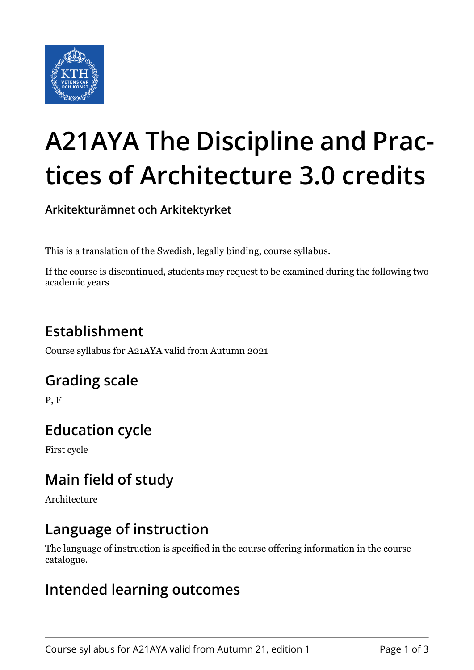

# **A21AYA The Discipline and Practices of Architecture 3.0 credits**

**Arkitekturämnet och Arkitektyrket**

This is a translation of the Swedish, legally binding, course syllabus.

If the course is discontinued, students may request to be examined during the following two academic years

# **Establishment**

Course syllabus for A21AYA valid from Autumn 2021

## **Grading scale**

P, F

# **Education cycle**

First cycle

# **Main field of study**

Architecture

## **Language of instruction**

The language of instruction is specified in the course offering information in the course catalogue.

#### **Intended learning outcomes**